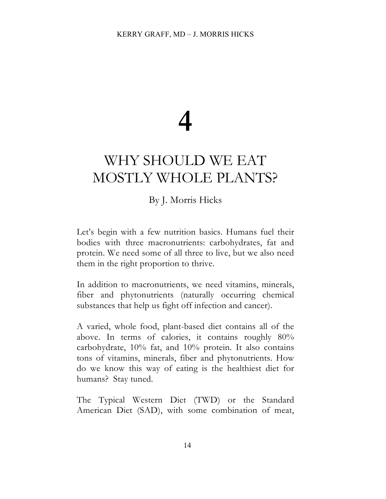# **4**

## WHY SHOULD WE EAT MOSTLY WHOLE PLANTS?

### By J. Morris Hicks

Let's begin with a few nutrition basics. Humans fuel their bodies with three macronutrients: carbohydrates, fat and protein. We need some of all three to live, but we also need them in the right proportion to thrive.

In addition to macronutrients, we need vitamins, minerals, fiber and phytonutrients (naturally occurring chemical substances that help us fight off infection and cancer).

A varied, whole food, plant-based diet contains all of the above. In terms of calories, it contains roughly 80% carbohydrate, 10% fat, and 10% protein. It also contains tons of vitamins, minerals, fiber and phytonutrients. How do we know this way of eating is the healthiest diet for humans? Stay tuned.

The Typical Western Diet (TWD) or the Standard American Diet (SAD), with some combination of meat,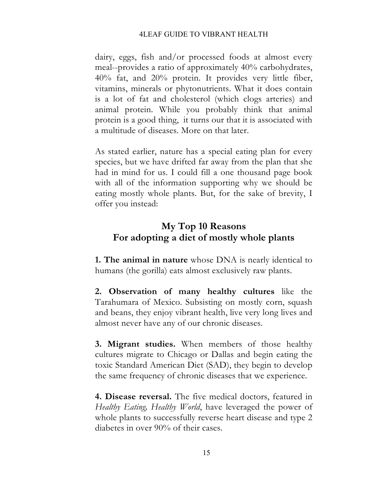dairy, eggs, fish and/or processed foods at almost every meal--provides a ratio of approximately 40% carbohydrates, 40% fat, and 20% protein. It provides very little fiber, vitamins, minerals or phytonutrients. What it does contain is a lot of fat and cholesterol (which clogs arteries) and animal protein. While you probably think that animal protein is a good thing, it turns our that it is associated with a multitude of diseases. More on that later.

As stated earlier, nature has a special eating plan for every species, but we have drifted far away from the plan that she had in mind for us. I could fill a one thousand page book with all of the information supporting why we should be eating mostly whole plants. But, for the sake of brevity, I offer you instead:

### **My Top 10 Reasons For adopting a diet of mostly whole plants**

**1. The animal in nature** whose DNA is nearly identical to humans (the gorilla) eats almost exclusively raw plants.

**2. Observation of many healthy cultures** like the Tarahumara of Mexico. Subsisting on mostly corn, squash and beans, they enjoy vibrant health, live very long lives and almost never have any of our chronic diseases.

**3. Migrant studies.** When members of those healthy cultures migrate to Chicago or Dallas and begin eating the toxic Standard American Diet (SAD), they begin to develop the same frequency of chronic diseases that we experience.

**4. Disease reversal.** The five medical doctors, featured in *Healthy Eating, Healthy World*, have leveraged the power of whole plants to successfully reverse heart disease and type 2 diabetes in over 90% of their cases.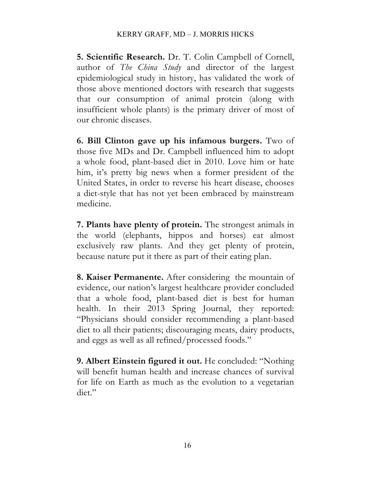**5. Scientific Research.** Dr. T. Colin Campbell of Cornell, author of *The China Study* and director of the largest epidemiological study in history, has validated the work of those above mentioned doctors with research that suggests that our consumption of animal protein (along with insufficient whole plants) is the primary driver of most of our chronic diseases.

**6. Bill Clinton gave up his infamous burgers.** Two of those five MDs and Dr. Campbell influenced him to adopt a whole food, plant-based diet in 2010. Love him or hate him, it's pretty big news when a former president of the United States, in order to reverse his heart disease, chooses a diet-style that has not yet been embraced by mainstream medicine.

**7. Plants have plenty of protein.** The strongest animals in the world (elephants, hippos and horses) eat almost exclusively raw plants. And they get plenty of protein, because nature put it there as part of their eating plan.

**8. Kaiser Permanente.** After considering the mountain of evidence, our nation's largest healthcare provider concluded that a whole food, plant-based diet is best for human health. In their 2013 Spring Journal, they reported: "Physicians should consider recommending a plant-based diet to all their patients; discouraging meats, dairy products, and eggs as well as all refined/processed foods."

**9. Albert Einstein figured it out.** He concluded: "Nothing will benefit human health and increase chances of survival for life on Earth as much as the evolution to a vegetarian diet."